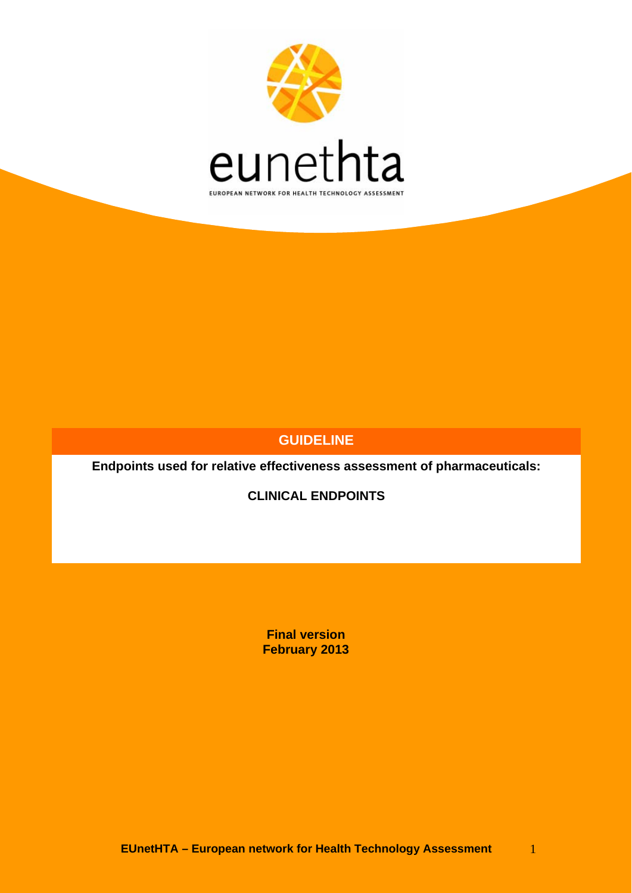

### **GUIDELINE**

**Endpoints used for relative effectiveness assessment of pharmaceuticals:** 

**CLINICAL ENDPOINTS** 

**Final version February 2013**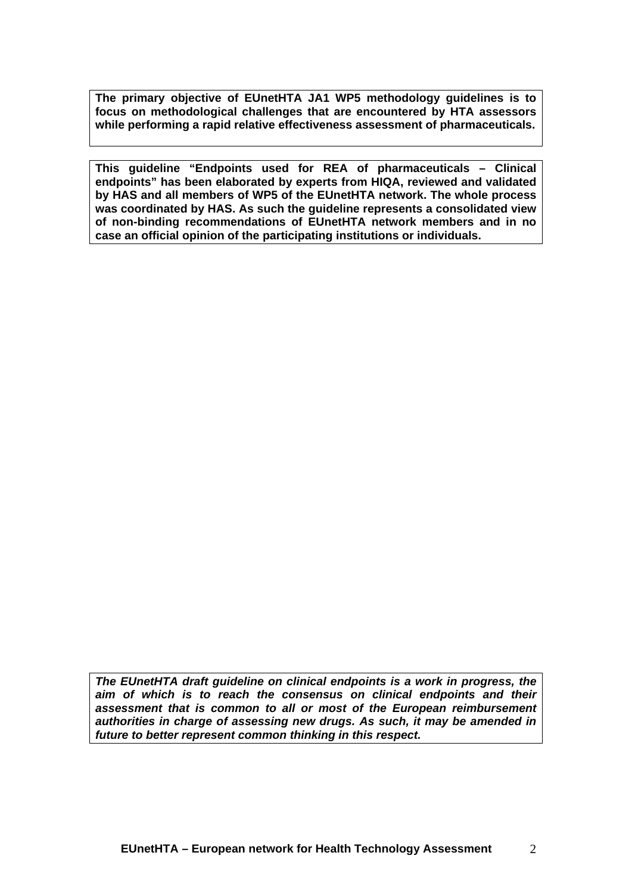**The primary objective of EUnetHTA JA1 WP5 methodology guidelines is to focus on methodological challenges that are encountered by HTA assessors while performing a rapid relative effectiveness assessment of pharmaceuticals.** 

**This guideline "Endpoints used for REA of pharmaceuticals – Clinical endpoints" has been elaborated by experts from HIQA, reviewed and validated by HAS and all members of WP5 of the EUnetHTA network. The whole process was coordinated by HAS. As such the guideline represents a consolidated view of non-binding recommendations of EUnetHTA network members and in no case an official opinion of the participating institutions or individuals.** 

*The EUnetHTA draft guideline on clinical endpoints is a work in progress, the aim of which is to reach the consensus on clinical endpoints and their assessment that is common to all or most of the European reimbursement authorities in charge of assessing new drugs. As such, it may be amended in future to better represent common thinking in this respect.*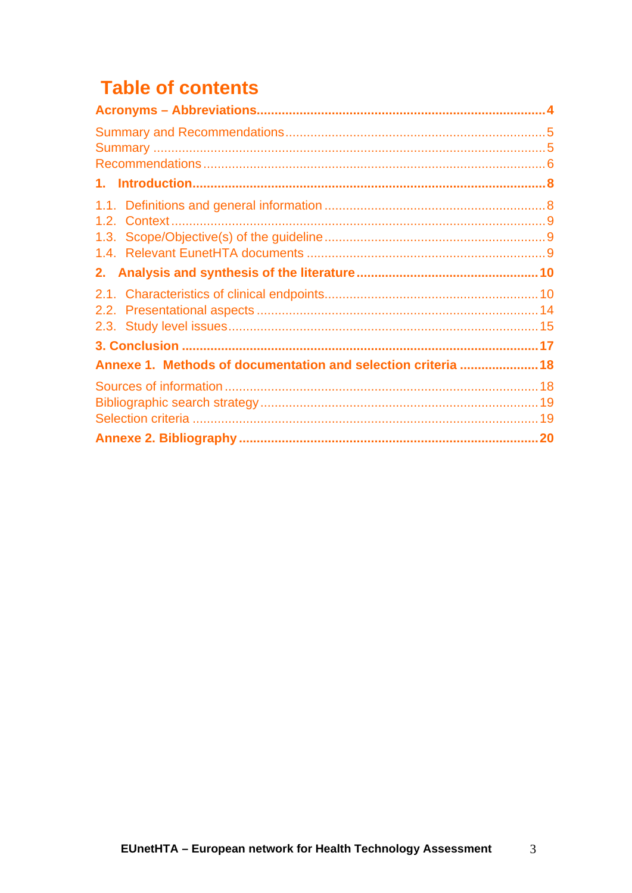# **Table of contents**

| Annexe 1. Methods of documentation and selection criteria  18 |  |
|---------------------------------------------------------------|--|
|                                                               |  |
|                                                               |  |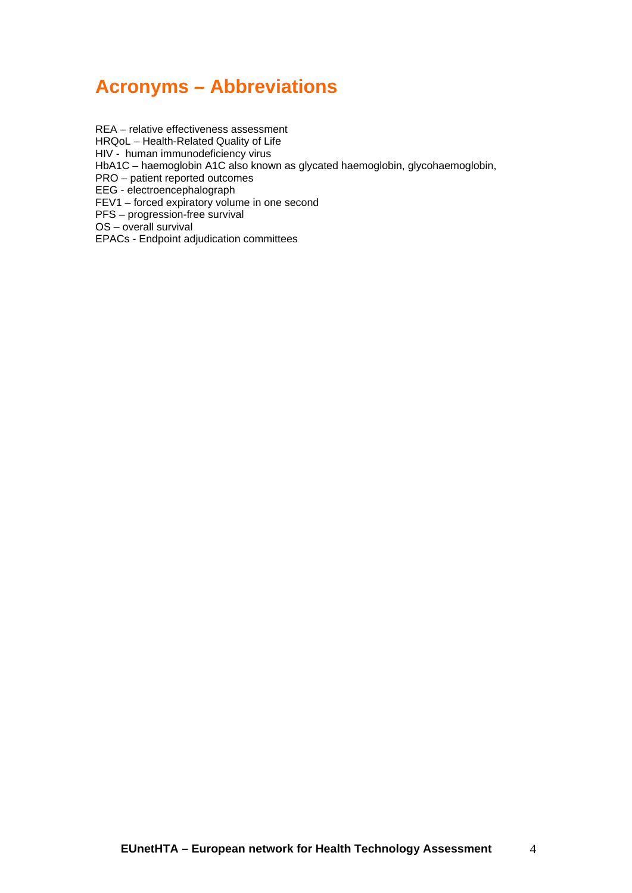## <span id="page-3-0"></span>**Acronyms – Abbreviations**

REA – relative effectiveness assessment HRQoL – Health-Related Quality of Life HIV - human immunodeficiency virus HbA1C – haemoglobin A1C also known as glycated haemoglobin, glycohaemoglobin, PRO – patient reported outcomes EEG - electroencephalograph FEV1 – forced expiratory volume in one second PFS – progression-free survival OS – overall survival EPACs - Endpoint adjudication committees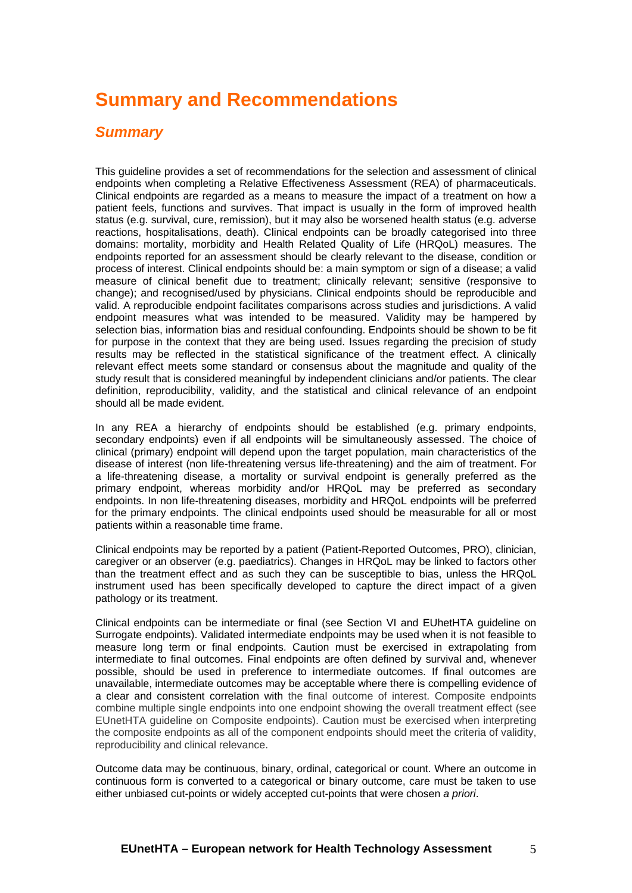## <span id="page-4-0"></span>**Summary and Recommendations**

### <span id="page-4-1"></span>*Summary*

This guideline provides a set of recommendations for the selection and assessment of clinical endpoints when completing a Relative Effectiveness Assessment (REA) of pharmaceuticals. Clinical endpoints are regarded as a means to measure the impact of a treatment on how a patient feels, functions and survives. That impact is usually in the form of improved health status (e.g. survival, cure, remission), but it may also be worsened health status (e.g. adverse reactions, hospitalisations, death). Clinical endpoints can be broadly categorised into three domains: mortality, morbidity and Health Related Quality of Life (HRQoL) measures. The endpoints reported for an assessment should be clearly relevant to the disease, condition or process of interest. Clinical endpoints should be: a main symptom or sign of a disease; a valid measure of clinical benefit due to treatment; clinically relevant; sensitive (responsive to change); and recognised/used by physicians. Clinical endpoints should be reproducible and valid. A reproducible endpoint facilitates comparisons across studies and jurisdictions. A valid endpoint measures what was intended to be measured. Validity may be hampered by selection bias, information bias and residual confounding. Endpoints should be shown to be fit for purpose in the context that they are being used. Issues regarding the precision of study results may be reflected in the statistical significance of the treatment effect. A clinically relevant effect meets some standard or consensus about the magnitude and quality of the study result that is considered meaningful by independent clinicians and/or patients. The clear definition, reproducibility, validity, and the statistical and clinical relevance of an endpoint should all be made evident.

In any REA a hierarchy of endpoints should be established (e.g. primary endpoints, secondary endpoints) even if all endpoints will be simultaneously assessed. The choice of clinical (primary) endpoint will depend upon the target population, main characteristics of the disease of interest (non life-threatening versus life-threatening) and the aim of treatment. For a life-threatening disease, a mortality or survival endpoint is generally preferred as the primary endpoint, whereas morbidity and/or HRQoL may be preferred as secondary endpoints. In non life-threatening diseases, morbidity and HRQoL endpoints will be preferred for the primary endpoints. The clinical endpoints used should be measurable for all or most patients within a reasonable time frame.

Clinical endpoints may be reported by a patient (Patient-Reported Outcomes, PRO), clinician, caregiver or an observer (e.g. paediatrics). Changes in HRQoL may be linked to factors other than the treatment effect and as such they can be susceptible to bias, unless the HRQoL instrument used has been specifically developed to capture the direct impact of a given pathology or its treatment.

Clinical endpoints can be intermediate or final (see Section VI and EUhetHTA guideline on Surrogate endpoints). Validated intermediate endpoints may be used when it is not feasible to measure long term or final endpoints. Caution must be exercised in extrapolating from intermediate to final outcomes. Final endpoints are often defined by survival and, whenever possible, should be used in preference to intermediate outcomes. If final outcomes are unavailable, intermediate outcomes may be acceptable where there is compelling evidence of a clear and consistent correlation with the final outcome of interest. Composite endpoints combine multiple single endpoints into one endpoint showing the overall treatment effect (see EUnetHTA guideline on Composite endpoints). Caution must be exercised when interpreting the composite endpoints as all of the component endpoints should meet the criteria of validity, reproducibility and clinical relevance.

Outcome data may be continuous, binary, ordinal, categorical or count. Where an outcome in continuous form is converted to a categorical or binary outcome, care must be taken to use either unbiased cut-points or widely accepted cut-points that were chosen *a priori*.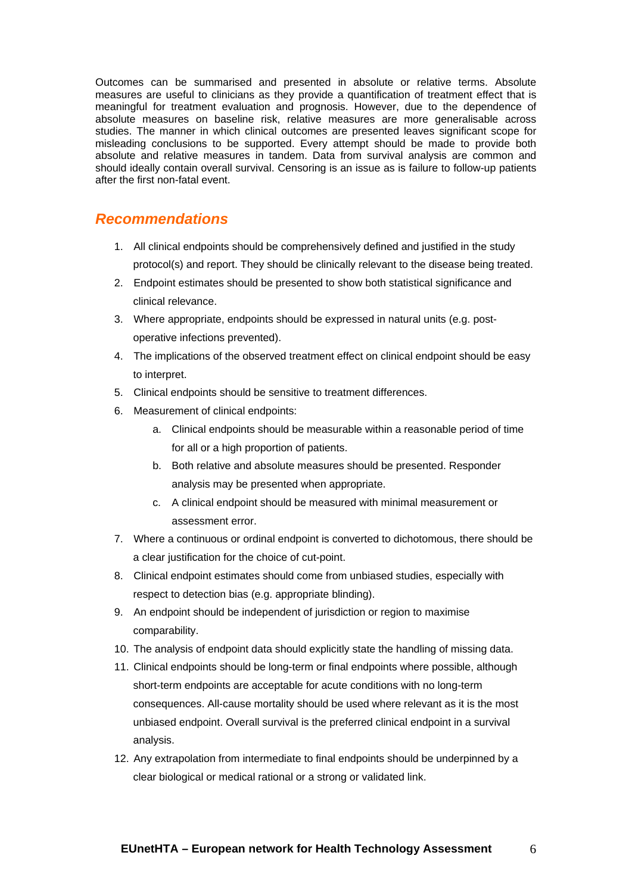Outcomes can be summarised and presented in absolute or relative terms. Absolute measures are useful to clinicians as they provide a quantification of treatment effect that is meaningful for treatment evaluation and prognosis. However, due to the dependence of absolute measures on baseline risk, relative measures are more generalisable across studies. The manner in which clinical outcomes are presented leaves significant scope for misleading conclusions to be supported. Every attempt should be made to provide both absolute and relative measures in tandem. Data from survival analysis are common and should ideally contain overall survival. Censoring is an issue as is failure to follow-up patients after the first non-fatal event.

### <span id="page-5-0"></span>*Recommendations*

- 1. All clinical endpoints should be comprehensively defined and justified in the study protocol(s) and report. They should be clinically relevant to the disease being treated.
- 2. Endpoint estimates should be presented to show both statistical significance and clinical relevance.
- 3. Where appropriate, endpoints should be expressed in natural units (e.g. postoperative infections prevented).
- 4. The implications of the observed treatment effect on clinical endpoint should be easy to interpret.
- 5. Clinical endpoints should be sensitive to treatment differences.
- 6. Measurement of clinical endpoints:
	- a. Clinical endpoints should be measurable within a reasonable period of time for all or a high proportion of patients.
	- b. Both relative and absolute measures should be presented. Responder analysis may be presented when appropriate.
	- c. A clinical endpoint should be measured with minimal measurement or assessment error.
- 7. Where a continuous or ordinal endpoint is converted to dichotomous, there should be a clear justification for the choice of cut-point.
- 8. Clinical endpoint estimates should come from unbiased studies, especially with respect to detection bias (e.g. appropriate blinding).
- 9. An endpoint should be independent of jurisdiction or region to maximise comparability.
- 10. The analysis of endpoint data should explicitly state the handling of missing data.
- 11. Clinical endpoints should be long-term or final endpoints where possible, although short-term endpoints are acceptable for acute conditions with no long-term consequences. All-cause mortality should be used where relevant as it is the most unbiased endpoint. Overall survival is the preferred clinical endpoint in a survival analysis.
- 12. Any extrapolation from intermediate to final endpoints should be underpinned by a clear biological or medical rational or a strong or validated link.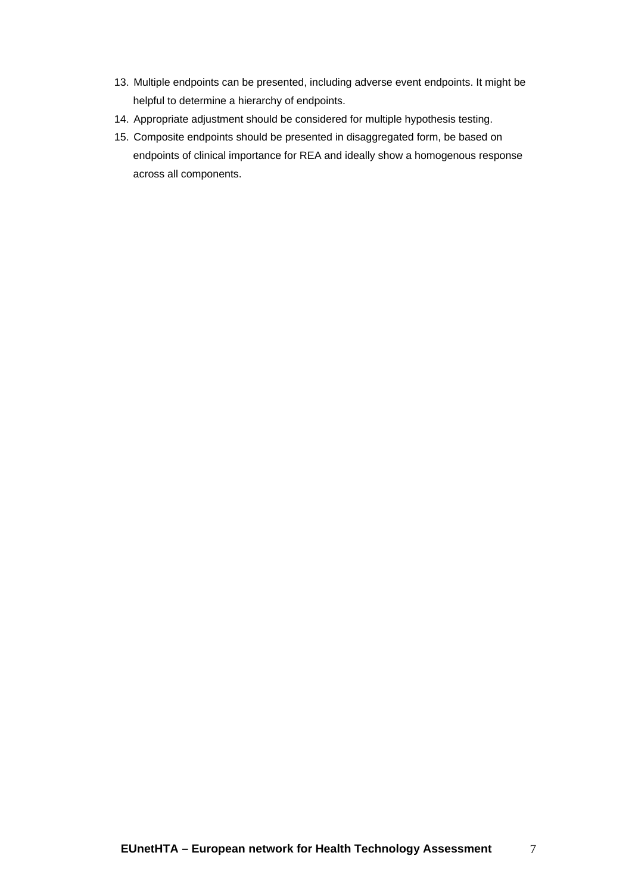- 13. Multiple endpoints can be presented, including adverse event endpoints. It might be helpful to determine a hierarchy of endpoints.
- 14. Appropriate adjustment should be considered for multiple hypothesis testing.
- 15. Composite endpoints should be presented in disaggregated form, be based on endpoints of clinical importance for REA and ideally show a homogenous response across all components.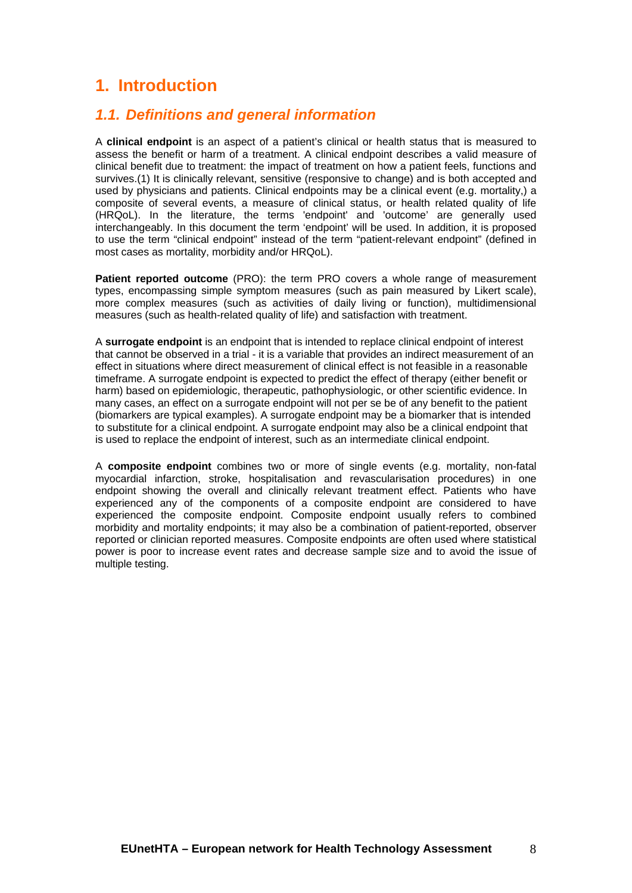## <span id="page-7-0"></span>**1. Introduction**

### <span id="page-7-1"></span>*1.1. Definitions and general information*

A **clinical endpoint** is an aspect of a patient's clinical or health status that is measured to assess the benefit or harm of a treatment. A clinical endpoint describes a valid measure of clinical benefit due to treatment: the impact of treatment on how a patient feels, functions and survives.(1) It is clinically relevant, sensitive (responsive to change) and is both accepted and used by physicians and patients. Clinical endpoints may be a clinical event (e.g. mortality,) a composite of several events, a measure of clinical status, or health related quality of life (HRQoL). In the literature, the terms 'endpoint' and 'outcome' are generally used interchangeably. In this document the term 'endpoint' will be used. In addition, it is proposed to use the term "clinical endpoint" instead of the term "patient-relevant endpoint" (defined in most cases as mortality, morbidity and/or HRQoL).

**Patient reported outcome** (PRO): the term PRO covers a whole range of measurement types, encompassing simple symptom measures (such as pain measured by Likert scale), more complex measures (such as activities of daily living or function), multidimensional measures (such as health-related quality of life) and satisfaction with treatment.

A **surrogate endpoint** is an endpoint that is intended to replace clinical endpoint of interest that cannot be observed in a trial - it is a variable that provides an indirect measurement of an effect in situations where direct measurement of clinical effect is not feasible in a reasonable timeframe. A surrogate endpoint is expected to predict the effect of therapy (either benefit or harm) based on epidemiologic, therapeutic, pathophysiologic, or other scientific evidence. In many cases, an effect on a surrogate endpoint will not per se be of any benefit to the patient (biomarkers are typical examples). A surrogate endpoint may be a biomarker that is intended to substitute for a clinical endpoint. A surrogate endpoint may also be a clinical endpoint that is used to replace the endpoint of interest, such as an intermediate clinical endpoint.

A **composite endpoint** combines two or more of single events (e.g. mortality, non-fatal myocardial infarction, stroke, hospitalisation and revascularisation procedures) in one endpoint showing the overall and clinically relevant treatment effect. Patients who have experienced any of the components of a composite endpoint are considered to have experienced the composite endpoint. Composite endpoint usually refers to combined morbidity and mortality endpoints; it may also be a combination of patient-reported, observer reported or clinician reported measures. Composite endpoints are often used where statistical power is poor to increase event rates and decrease sample size and to avoid the issue of multiple testing.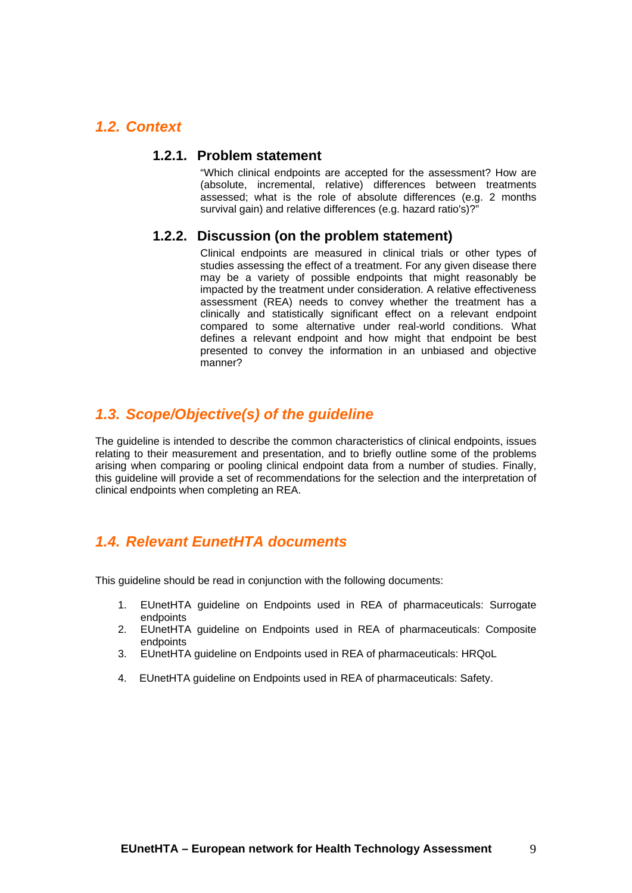### <span id="page-8-0"></span>*1.2. Context*

#### **1.2.1. Problem statement**

"Which clinical endpoints are accepted for the assessment? How are (absolute, incremental, relative) differences between treatments assessed; what is the role of absolute differences (e.g. 2 months survival gain) and relative differences (e.g. hazard ratio's)?"

#### **1.2.2. Discussion (on the problem statement)**

Clinical endpoints are measured in clinical trials or other types of studies assessing the effect of a treatment. For any given disease there may be a variety of possible endpoints that might reasonably be impacted by the treatment under consideration. A relative effectiveness assessment (REA) needs to convey whether the treatment has a clinically and statistically significant effect on a relevant endpoint compared to some alternative under real-world conditions. What defines a relevant endpoint and how might that endpoint be best presented to convey the information in an unbiased and objective manner?

### <span id="page-8-1"></span>*1.3. Scope/Objective(s) of the guideline*

The guideline is intended to describe the common characteristics of clinical endpoints, issues relating to their measurement and presentation, and to briefly outline some of the problems arising when comparing or pooling clinical endpoint data from a number of studies. Finally, this guideline will provide a set of recommendations for the selection and the interpretation of clinical endpoints when completing an REA.

### <span id="page-8-2"></span>*1.4. Relevant EunetHTA documents*

This guideline should be read in conjunction with the following documents:

- 1. EUnetHTA guideline on Endpoints used in REA of pharmaceuticals: Surrogate endpoints
- 2. EUnetHTA guideline on Endpoints used in REA of pharmaceuticals: Composite endpoints
- 3. EUnetHTA guideline on Endpoints used in REA of pharmaceuticals: HRQoL
- 4. EUnetHTA guideline on Endpoints used in REA of pharmaceuticals: Safety.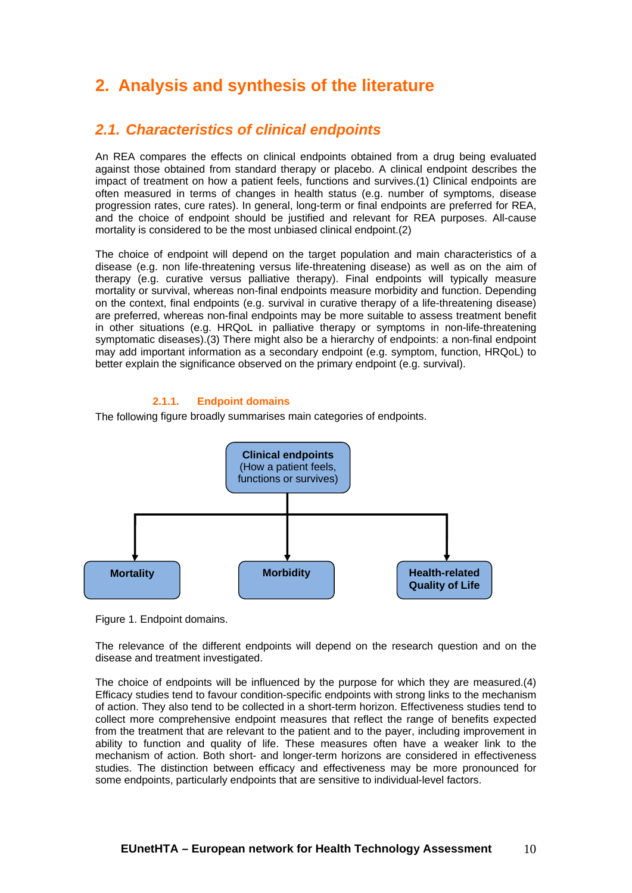## <span id="page-9-0"></span>**2. Analysis and synthesis of the literature**

### <span id="page-9-1"></span>*2.1. Characteristics of clinical endpoints*

An REA compares the effects on clinical endpoints obtained from a drug being evaluated against those obtained from standard therapy or placebo. A clinical endpoint describes the impact of treatment on how a patient feels, functions and survives.(1) Clinical endpoints are often measured in terms of changes in health status (e.g. number of symptoms, disease progression rates, cure rates). In general, long-term or final endpoints are preferred for REA, and the choice of endpoint should be justified and relevant for REA purposes. All-cause mortality is considered to be the most unbiased clinical endpoint.(2)

The choice of endpoint will depend on the target population and main characteristics of a disease (e.g. non life-threatening versus life-threatening disease) as well as on the aim of therapy (e.g. curative versus palliative therapy). Final endpoints will typically measure mortality or survival, whereas non-final endpoints measure morbidity and function. Depending on the context, final endpoints (e.g. survival in curative therapy of a life-threatening disease) are preferred, whereas non-final endpoints may be more suitable to assess treatment benefit in other situations (e.g. HRQoL in palliative therapy or symptoms in non-life-threatening symptomatic diseases).(3) There might also be a hierarchy of endpoints: a non-final endpoint may add important information as a secondary endpoint (e.g. symptom, function, HRQoL) to better explain the significance observed on the primary endpoint (e.g. survival).

#### **2.1.1. Endpoint domains**

The following figure broadly summarises main categories of endpoints.



Figure 1. Endpoint domains.

The relevance of the different endpoints will depend on the research question and on the disease and treatment investigated.

The choice of endpoints will be influenced by the purpose for which they are measured.(4) Efficacy studies tend to favour condition-specific endpoints with strong links to the mechanism of action. They also tend to be collected in a short-term horizon. Effectiveness studies tend to collect more comprehensive endpoint measures that reflect the range of benefits expected from the treatment that are relevant to the patient and to the payer, including improvement in ability to function and quality of life. These measures often have a weaker link to the mechanism of action. Both short- and longer-term horizons are considered in effectiveness studies. The distinction between efficacy and effectiveness may be more pronounced for some endpoints, particularly endpoints that are sensitive to individual-level factors.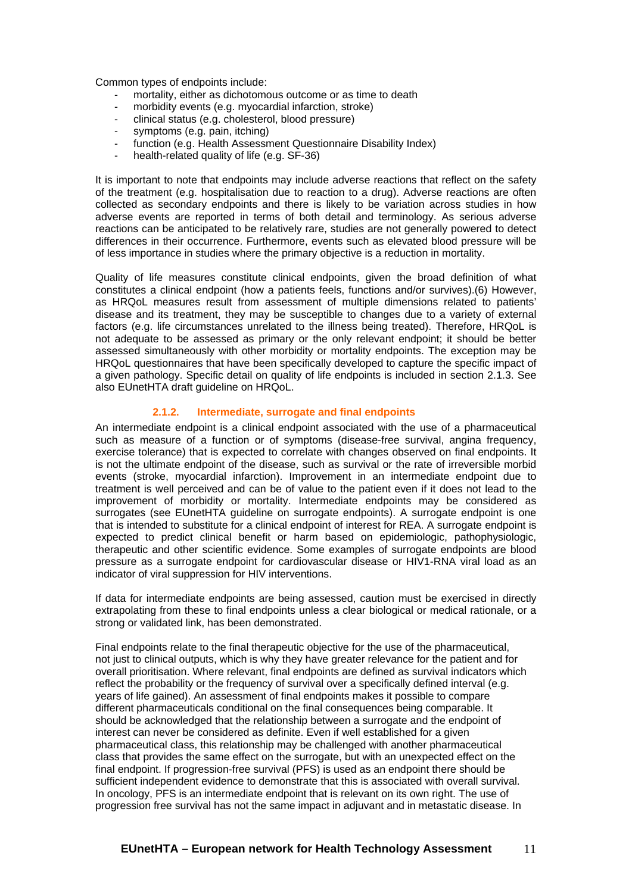Common types of endpoints include:

- mortality, either as dichotomous outcome or as time to death
- morbidity events (e.g. myocardial infarction, stroke)
- clinical status (e.g. cholesterol, blood pressure)
- symptoms (e.g. pain, itching)
- function (e.g. Health Assessment Questionnaire Disability Index)
- health-related quality of life (e.g. SF-36)

It is important to note that endpoints may include adverse reactions that reflect on the safety of the treatment (e.g. hospitalisation due to reaction to a drug). Adverse reactions are often collected as secondary endpoints and there is likely to be variation across studies in how adverse events are reported in terms of both detail and terminology. As serious adverse reactions can be anticipated to be relatively rare, studies are not generally powered to detect differences in their occurrence. Furthermore, events such as elevated blood pressure will be of less importance in studies where the primary objective is a reduction in mortality.

Quality of life measures constitute clinical endpoints, given the broad definition of what constitutes a clinical endpoint (how a patients feels, functions and/or survives).(6) However, as HRQoL measures result from assessment of multiple dimensions related to patients' disease and its treatment, they may be susceptible to changes due to a variety of external factors (e.g. life circumstances unrelated to the illness being treated). Therefore, HRQoL is not adequate to be assessed as primary or the only relevant endpoint; it should be better assessed simultaneously with other morbidity or mortality endpoints. The exception may be HRQoL questionnaires that have been specifically developed to capture the specific impact of a given pathology. Specific detail on quality of life endpoints is included in section 2.1.3. See also EUnetHTA draft guideline on HRQoL.

#### **2.1.2. Intermediate, surrogate and final endpoints**

An intermediate endpoint is a clinical endpoint associated with the use of a pharmaceutical such as measure of a function or of symptoms (disease-free survival, angina frequency, exercise tolerance) that is expected to correlate with changes observed on final endpoints. It is not the ultimate endpoint of the disease, such as survival or the rate of irreversible morbid events (stroke, myocardial infarction). Improvement in an intermediate endpoint due to treatment is well perceived and can be of value to the patient even if it does not lead to the improvement of morbidity or mortality. Intermediate endpoints may be considered as surrogates (see EUnetHTA guideline on surrogate endpoints). A surrogate endpoint is one that is intended to substitute for a clinical endpoint of interest for REA. A surrogate endpoint is expected to predict clinical benefit or harm based on epidemiologic, pathophysiologic, therapeutic and other scientific evidence. Some examples of surrogate endpoints are blood pressure as a surrogate endpoint for cardiovascular disease or HIV1-RNA viral load as an indicator of viral suppression for HIV interventions.

If data for intermediate endpoints are being assessed, caution must be exercised in directly extrapolating from these to final endpoints unless a clear biological or medical rationale, or a strong or validated link, has been demonstrated.

Final endpoints relate to the final therapeutic objective for the use of the pharmaceutical, not just to clinical outputs, which is why they have greater relevance for the patient and for overall prioritisation. Where relevant, final endpoints are defined as survival indicators which reflect the probability or the frequency of survival over a specifically defined interval (e.g. years of life gained). An assessment of final endpoints makes it possible to compare different pharmaceuticals conditional on the final consequences being comparable. It should be acknowledged that the relationship between a surrogate and the endpoint of interest can never be considered as definite. Even if well established for a given pharmaceutical class, this relationship may be challenged with another pharmaceutical class that provides the same effect on the surrogate, but with an unexpected effect on the final endpoint. If progression-free survival (PFS) is used as an endpoint there should be sufficient independent evidence to demonstrate that this is associated with overall survival. In oncology, PFS is an intermediate endpoint that is relevant on its own right. The use of progression free survival has not the same impact in adjuvant and in metastatic disease. In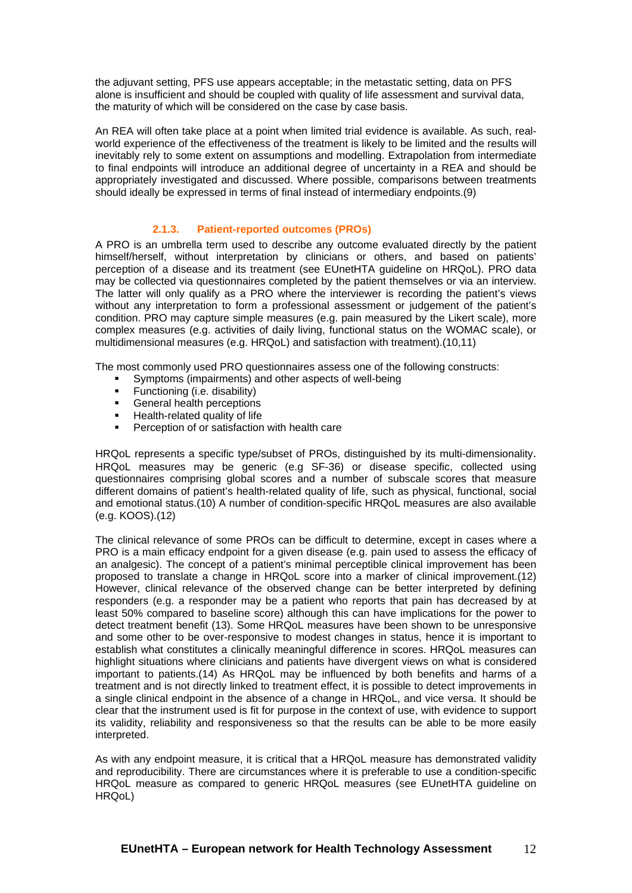the adjuvant setting, PFS use appears acceptable; in the metastatic setting, data on PFS alone is insufficient and should be coupled with quality of life assessment and survival data, the maturity of which will be considered on the case by case basis.

An REA will often take place at a point when limited trial evidence is available. As such, realworld experience of the effectiveness of the treatment is likely to be limited and the results will inevitably rely to some extent on assumptions and modelling. Extrapolation from intermediate to final endpoints will introduce an additional degree of uncertainty in a REA and should be appropriately investigated and discussed. Where possible, comparisons between treatments should ideally be expressed in terms of final instead of intermediary endpoints.(9)

#### **2.1.3. Patient-reported outcomes (PROs)**

A PRO is an umbrella term used to describe any outcome evaluated directly by the patient himself/herself, without interpretation by clinicians or others, and based on patients' perception of a disease and its treatment (see EUnetHTA guideline on HRQoL). PRO data may be collected via questionnaires completed by the patient themselves or via an interview. The latter will only qualify as a PRO where the interviewer is recording the patient's views without any interpretation to form a professional assessment or judgement of the patient's condition. PRO may capture simple measures (e.g. pain measured by the Likert scale), more complex measures (e.g. activities of daily living, functional status on the WOMAC scale), or multidimensional measures (e.g. HRQoL) and satisfaction with treatment).(10,11)

The most commonly used PRO questionnaires assess one of the following constructs:

- Symptoms (impairments) and other aspects of well-being
- Functioning (i.e. disability)
- **General health perceptions**
- **Health-related quality of life**
- Perception of or satisfaction with health care

HRQoL represents a specific type/subset of PROs, distinguished by its multi-dimensionality. HRQoL measures may be generic (e.g SF-36) or disease specific, collected using questionnaires comprising global scores and a number of subscale scores that measure different domains of patient's health-related quality of life, such as physical, functional, social and emotional status.(10) A number of condition-specific HRQoL measures are also available (e.g. KOOS).(12)

The clinical relevance of some PROs can be difficult to determine, except in cases where a PRO is a main efficacy endpoint for a given disease (e.g. pain used to assess the efficacy of an analgesic). The concept of a patient's minimal perceptible clinical improvement has been proposed to translate a change in HRQoL score into a marker of clinical improvement.(12) However, clinical relevance of the observed change can be better interpreted by defining responders (e.g. a responder may be a patient who reports that pain has decreased by at least 50% compared to baseline score) although this can have implications for the power to detect treatment benefit (13). Some HRQoL measures have been shown to be unresponsive and some other to be over-responsive to modest changes in status, hence it is important to establish what constitutes a clinically meaningful difference in scores. HRQoL measures can highlight situations where clinicians and patients have divergent views on what is considered important to patients.(14) As HRQoL may be influenced by both benefits and harms of a treatment and is not directly linked to treatment effect, it is possible to detect improvements in a single clinical endpoint in the absence of a change in HRQoL, and vice versa. It should be clear that the instrument used is fit for purpose in the context of use, with evidence to support its validity, reliability and responsiveness so that the results can be able to be more easily interpreted.

As with any endpoint measure, it is critical that a HRQoL measure has demonstrated validity and reproducibility. There are circumstances where it is preferable to use a condition-specific HRQoL measure as compared to generic HRQoL measures (see EUnetHTA guideline on HRQoL)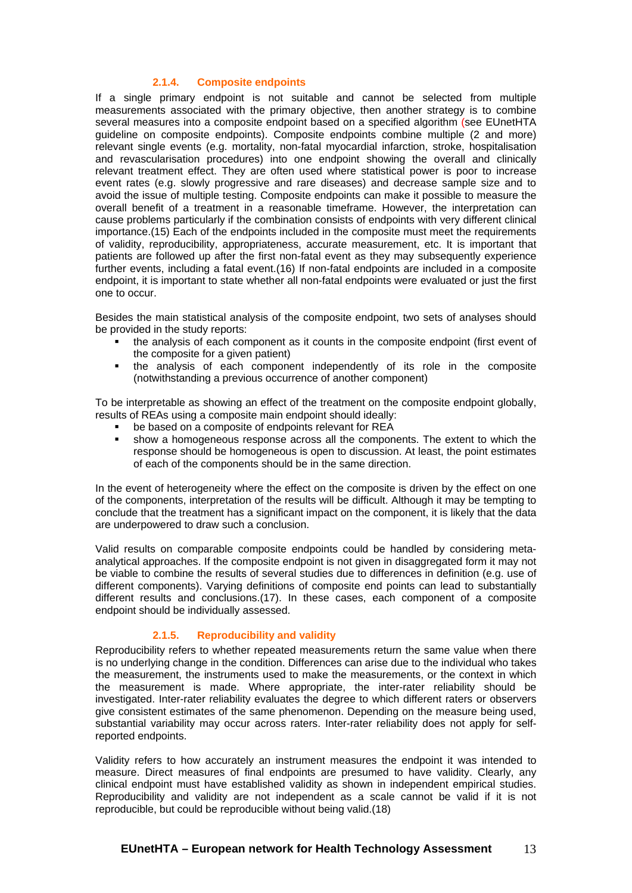#### **2.1.4. Composite endpoints**

If a single primary endpoint is not suitable and cannot be selected from multiple measurements associated with the primary objective, then another strategy is to combine several measures into a composite endpoint based on a specified algorithm (see EUnetHTA guideline on composite endpoints). Composite endpoints combine multiple (2 and more) relevant single events (e.g. mortality, non-fatal myocardial infarction, stroke, hospitalisation and revascularisation procedures) into one endpoint showing the overall and clinically relevant treatment effect. They are often used where statistical power is poor to increase event rates (e.g. slowly progressive and rare diseases) and decrease sample size and to avoid the issue of multiple testing. Composite endpoints can make it possible to measure the overall benefit of a treatment in a reasonable timeframe. However, the interpretation can cause problems particularly if the combination consists of endpoints with very different clinical importance.(15) Each of the endpoints included in the composite must meet the requirements of validity, reproducibility, appropriateness, accurate measurement, etc. It is important that patients are followed up after the first non-fatal event as they may subsequently experience further events, including a fatal event.(16) If non-fatal endpoints are included in a composite endpoint, it is important to state whether all non-fatal endpoints were evaluated or just the first one to occur.

Besides the main statistical analysis of the composite endpoint, two sets of analyses should be provided in the study reports:

- the analysis of each component as it counts in the composite endpoint (first event of the composite for a given patient)
- the analysis of each component independently of its role in the composite (notwithstanding a previous occurrence of another component)

To be interpretable as showing an effect of the treatment on the composite endpoint globally, results of REAs using a composite main endpoint should ideally:

- **be based on a composite of endpoints relevant for REA**
- show a homogeneous response across all the components. The extent to which the response should be homogeneous is open to discussion. At least, the point estimates of each of the components should be in the same direction.

In the event of heterogeneity where the effect on the composite is driven by the effect on one of the components, interpretation of the results will be difficult. Although it may be tempting to conclude that the treatment has a significant impact on the component, it is likely that the data are underpowered to draw such a conclusion.

Valid results on comparable composite endpoints could be handled by considering metaanalytical approaches. If the composite endpoint is not given in disaggregated form it may not be viable to combine the results of several studies due to differences in definition (e.g. use of different components). Varying definitions of composite end points can lead to substantially different results and conclusions.(17). In these cases, each component of a composite endpoint should be individually assessed.

#### **2.1.5. Reproducibility and validity**

Reproducibility refers to whether repeated measurements return the same value when there is no underlying change in the condition. Differences can arise due to the individual who takes the measurement, the instruments used to make the measurements, or the context in which the measurement is made. Where appropriate, the inter-rater reliability should be investigated. Inter-rater reliability evaluates the degree to which different raters or observers give consistent estimates of the same phenomenon. Depending on the measure being used, substantial variability may occur across raters. Inter-rater reliability does not apply for selfreported endpoints.

Validity refers to how accurately an instrument measures the endpoint it was intended to measure. Direct measures of final endpoints are presumed to have validity. Clearly, any clinical endpoint must have established validity as shown in independent empirical studies. Reproducibility and validity are not independent as a scale cannot be valid if it is not reproducible, but could be reproducible without being valid.(18)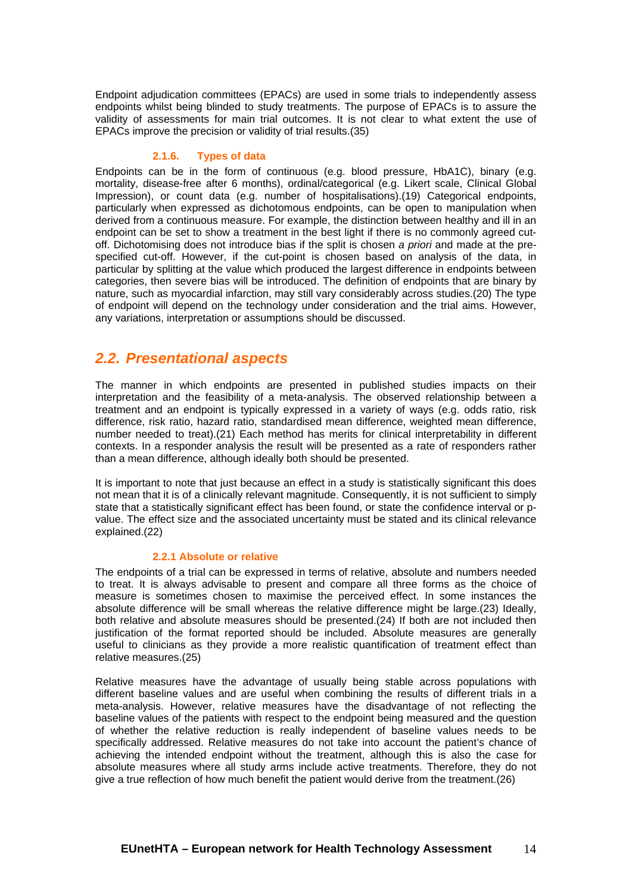Endpoint adjudication committees (EPACs) are used in some trials to independently assess endpoints whilst being blinded to study treatments. The purpose of EPACs is to assure the validity of assessments for main trial outcomes. It is not clear to what extent the use of EPACs improve the precision or validity of trial results.(35)

#### **2.1.6. Types of data**

Endpoints can be in the form of continuous (e.g. blood pressure, HbA1C), binary (e.g. mortality, disease-free after 6 months), ordinal/categorical (e.g. Likert scale, Clinical Global Impression), or count data (e.g. number of hospitalisations).(19) Categorical endpoints, particularly when expressed as dichotomous endpoints, can be open to manipulation when derived from a continuous measure. For example, the distinction between healthy and ill in an endpoint can be set to show a treatment in the best light if there is no commonly agreed cutoff. Dichotomising does not introduce bias if the split is chosen *a priori* and made at the prespecified cut-off. However, if the cut-point is chosen based on analysis of the data, in particular by splitting at the value which produced the largest difference in endpoints between categories, then severe bias will be introduced. The definition of endpoints that are binary by nature, such as myocardial infarction, may still vary considerably across studies.(20) The type of endpoint will depend on the technology under consideration and the trial aims. However, any variations, interpretation or assumptions should be discussed.

### <span id="page-13-0"></span>*2.2. Presentational aspects*

The manner in which endpoints are presented in published studies impacts on their interpretation and the feasibility of a meta-analysis. The observed relationship between a treatment and an endpoint is typically expressed in a variety of ways (e.g. odds ratio, risk difference, risk ratio, hazard ratio, standardised mean difference, weighted mean difference, number needed to treat).(21) Each method has merits for clinical interpretability in different contexts. In a responder analysis the result will be presented as a rate of responders rather than a mean difference, although ideally both should be presented.

It is important to note that just because an effect in a study is statistically significant this does not mean that it is of a clinically relevant magnitude. Consequently, it is not sufficient to simply state that a statistically significant effect has been found, or state the confidence interval or pvalue. The effect size and the associated uncertainty must be stated and its clinical relevance explained.(22)

#### **2.2.1 Absolute or relative**

The endpoints of a trial can be expressed in terms of relative, absolute and numbers needed to treat. It is always advisable to present and compare all three forms as the choice of measure is sometimes chosen to maximise the perceived effect. In some instances the absolute difference will be small whereas the relative difference might be large.(23) Ideally, both relative and absolute measures should be presented.(24) If both are not included then justification of the format reported should be included. Absolute measures are generally useful to clinicians as they provide a more realistic quantification of treatment effect than relative measures.(25)

Relative measures have the advantage of usually being stable across populations with different baseline values and are useful when combining the results of different trials in a meta-analysis. However, relative measures have the disadvantage of not reflecting the baseline values of the patients with respect to the endpoint being measured and the question of whether the relative reduction is really independent of baseline values needs to be specifically addressed. Relative measures do not take into account the patient's chance of achieving the intended endpoint without the treatment, although this is also the case for absolute measures where all study arms include active treatments. Therefore, they do not give a true reflection of how much benefit the patient would derive from the treatment.(26)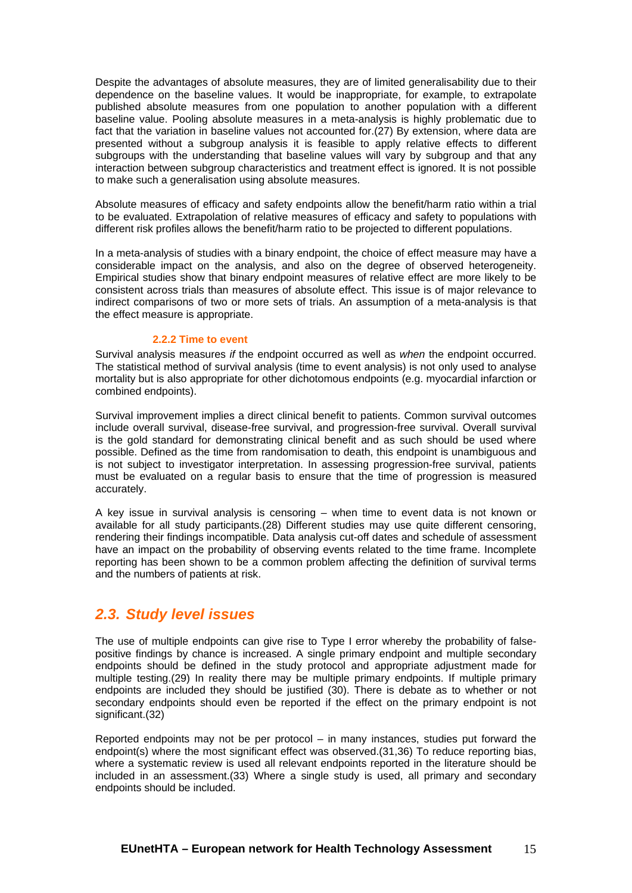Despite the advantages of absolute measures, they are of limited generalisability due to their dependence on the baseline values. It would be inappropriate, for example, to extrapolate published absolute measures from one population to another population with a different baseline value. Pooling absolute measures in a meta-analysis is highly problematic due to fact that the variation in baseline values not accounted for.(27) By extension, where data are presented without a subgroup analysis it is feasible to apply relative effects to different subgroups with the understanding that baseline values will vary by subgroup and that any interaction between subgroup characteristics and treatment effect is ignored. It is not possible to make such a generalisation using absolute measures.

Absolute measures of efficacy and safety endpoints allow the benefit/harm ratio within a trial to be evaluated. Extrapolation of relative measures of efficacy and safety to populations with different risk profiles allows the benefit/harm ratio to be projected to different populations.

In a meta-analysis of studies with a binary endpoint, the choice of effect measure may have a considerable impact on the analysis, and also on the degree of observed heterogeneity. Empirical studies show that binary endpoint measures of relative effect are more likely to be consistent across trials than measures of absolute effect. This issue is of major relevance to indirect comparisons of two or more sets of trials. An assumption of a meta-analysis is that the effect measure is appropriate.

#### **2.2.2 Time to event**

Survival analysis measures *if* the endpoint occurred as well as *when* the endpoint occurred. The statistical method of survival analysis (time to event analysis) is not only used to analyse mortality but is also appropriate for other dichotomous endpoints (e.g. myocardial infarction or combined endpoints).

Survival improvement implies a direct clinical benefit to patients. Common survival outcomes include overall survival, disease-free survival, and progression-free survival. Overall survival is the gold standard for demonstrating clinical benefit and as such should be used where possible. Defined as the time from randomisation to death, this endpoint is unambiguous and is not subject to investigator interpretation. In assessing progression-free survival, patients must be evaluated on a regular basis to ensure that the time of progression is measured accurately.

A key issue in survival analysis is censoring – when time to event data is not known or available for all study participants.(28) Different studies may use quite different censoring, rendering their findings incompatible. Data analysis cut-off dates and schedule of assessment have an impact on the probability of observing events related to the time frame. Incomplete reporting has been shown to be a common problem affecting the definition of survival terms and the numbers of patients at risk.

### <span id="page-14-0"></span>*2.3. Study level issues*

The use of multiple endpoints can give rise to Type I error whereby the probability of falsepositive findings by chance is increased. A single primary endpoint and multiple secondary endpoints should be defined in the study protocol and appropriate adjustment made for multiple testing.(29) In reality there may be multiple primary endpoints. If multiple primary endpoints are included they should be justified (30). There is debate as to whether or not secondary endpoints should even be reported if the effect on the primary endpoint is not significant.(32)

Reported endpoints may not be per protocol – in many instances, studies put forward the endpoint(s) where the most significant effect was observed.(31,36) To reduce reporting bias, where a systematic review is used all relevant endpoints reported in the literature should be included in an assessment.(33) Where a single study is used, all primary and secondary endpoints should be included.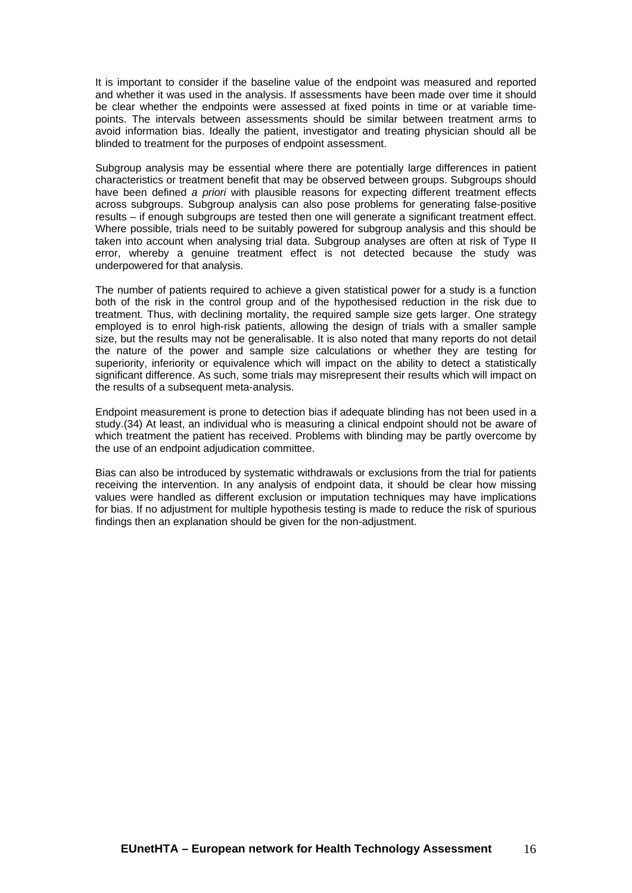It is important to consider if the baseline value of the endpoint was measured and reported and whether it was used in the analysis. If assessments have been made over time it should be clear whether the endpoints were assessed at fixed points in time or at variable timepoints. The intervals between assessments should be similar between treatment arms to avoid information bias. Ideally the patient, investigator and treating physician should all be blinded to treatment for the purposes of endpoint assessment.

Subgroup analysis may be essential where there are potentially large differences in patient characteristics or treatment benefit that may be observed between groups. Subgroups should have been defined *a priori* with plausible reasons for expecting different treatment effects across subgroups. Subgroup analysis can also pose problems for generating false-positive results – if enough subgroups are tested then one will generate a significant treatment effect. Where possible, trials need to be suitably powered for subgroup analysis and this should be taken into account when analysing trial data. Subgroup analyses are often at risk of Type II error, whereby a genuine treatment effect is not detected because the study was underpowered for that analysis.

The number of patients required to achieve a given statistical power for a study is a function both of the risk in the control group and of the hypothesised reduction in the risk due to treatment. Thus, with declining mortality, the required sample size gets larger. One strategy employed is to enrol high-risk patients, allowing the design of trials with a smaller sample size, but the results may not be generalisable. It is also noted that many reports do not detail the nature of the power and sample size calculations or whether they are testing for superiority, inferiority or equivalence which will impact on the ability to detect a statistically significant difference. As such, some trials may misrepresent their results which will impact on the results of a subsequent meta-analysis.

Endpoint measurement is prone to detection bias if adequate blinding has not been used in a study.(34) At least, an individual who is measuring a clinical endpoint should not be aware of which treatment the patient has received. Problems with blinding may be partly overcome by the use of an endpoint adjudication committee.

Bias can also be introduced by systematic withdrawals or exclusions from the trial for patients receiving the intervention. In any analysis of endpoint data, it should be clear how missing values were handled as different exclusion or imputation techniques may have implications for bias. If no adjustment for multiple hypothesis testing is made to reduce the risk of spurious findings then an explanation should be given for the non-adjustment.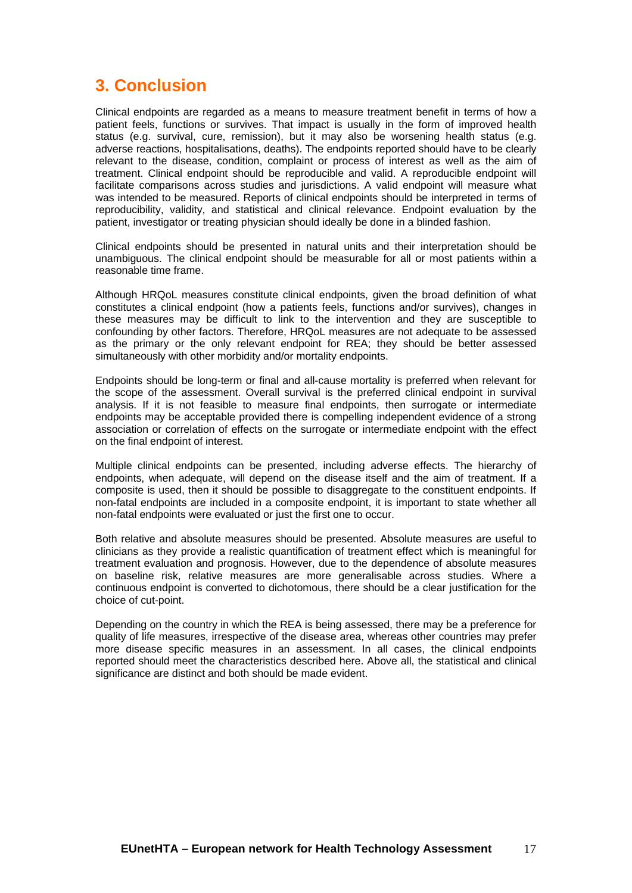## <span id="page-16-0"></span>**3. Conclusion**

Clinical endpoints are regarded as a means to measure treatment benefit in terms of how a patient feels, functions or survives. That impact is usually in the form of improved health status (e.g. survival, cure, remission), but it may also be worsening health status (e.g. adverse reactions, hospitalisations, deaths). The endpoints reported should have to be clearly relevant to the disease, condition, complaint or process of interest as well as the aim of treatment. Clinical endpoint should be reproducible and valid. A reproducible endpoint will facilitate comparisons across studies and jurisdictions. A valid endpoint will measure what was intended to be measured. Reports of clinical endpoints should be interpreted in terms of reproducibility, validity, and statistical and clinical relevance. Endpoint evaluation by the patient, investigator or treating physician should ideally be done in a blinded fashion.

Clinical endpoints should be presented in natural units and their interpretation should be unambiguous. The clinical endpoint should be measurable for all or most patients within a reasonable time frame.

Although HRQoL measures constitute clinical endpoints, given the broad definition of what constitutes a clinical endpoint (how a patients feels, functions and/or survives), changes in these measures may be difficult to link to the intervention and they are susceptible to confounding by other factors. Therefore, HRQoL measures are not adequate to be assessed as the primary or the only relevant endpoint for REA; they should be better assessed simultaneously with other morbidity and/or mortality endpoints.

Endpoints should be long-term or final and all-cause mortality is preferred when relevant for the scope of the assessment. Overall survival is the preferred clinical endpoint in survival analysis. If it is not feasible to measure final endpoints, then surrogate or intermediate endpoints may be acceptable provided there is compelling independent evidence of a strong association or correlation of effects on the surrogate or intermediate endpoint with the effect on the final endpoint of interest.

Multiple clinical endpoints can be presented, including adverse effects. The hierarchy of endpoints, when adequate, will depend on the disease itself and the aim of treatment. If a composite is used, then it should be possible to disaggregate to the constituent endpoints. If non-fatal endpoints are included in a composite endpoint, it is important to state whether all non-fatal endpoints were evaluated or just the first one to occur.

Both relative and absolute measures should be presented. Absolute measures are useful to clinicians as they provide a realistic quantification of treatment effect which is meaningful for treatment evaluation and prognosis. However, due to the dependence of absolute measures on baseline risk, relative measures are more generalisable across studies. Where a continuous endpoint is converted to dichotomous, there should be a clear justification for the choice of cut-point.

Depending on the country in which the REA is being assessed, there may be a preference for quality of life measures, irrespective of the disease area, whereas other countries may prefer more disease specific measures in an assessment. In all cases, the clinical endpoints reported should meet the characteristics described here. Above all, the statistical and clinical significance are distinct and both should be made evident.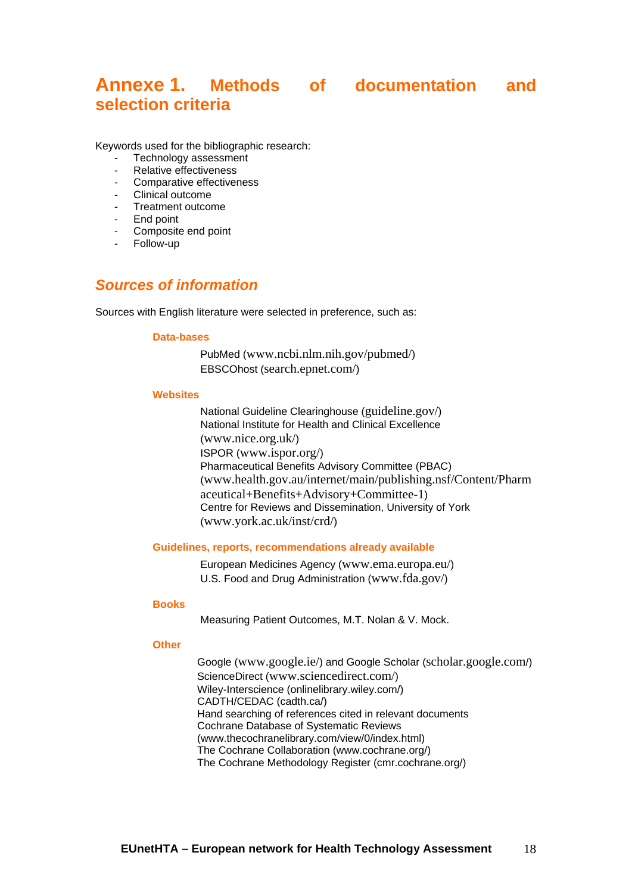## <span id="page-17-0"></span>**Annexe 1. Methods of documentation and selection criteria**

Keywords used for the bibliographic research:

- Technology assessment
- Relative effectiveness
- Comparative effectiveness
- Clinical outcome
- Treatment outcome
- End point
- Composite end point
- Follow-up

### <span id="page-17-1"></span>*Sources of information*

Sources with English literature were selected in preference, such as:

#### **Data-bases**

PubMed (www.ncbi.nlm.nih.gov/pubmed/) EBSCOhost (search.epnet.com/)

#### **Websites**

National Guideline Clearinghouse (guideline.gov/) National Institute for Health and Clinical Excellence (www.nice.org.uk/) ISPOR (www.ispor.org/) Pharmaceutical Benefits Advisory Committee (PBAC) (www.health.gov.au/internet/main/publishing.nsf/Content/Pharm aceutical+Benefits+Advisory+Committee-1) Centre for Reviews and Dissemination, University of York (www.york.ac.uk/inst/crd/)

#### **Guidelines, reports, recommendations already available**

European Medicines Agency (www.ema.europa.eu/) U.S. Food and Drug Administration (www.fda.gov/)

#### **Books**

Measuring Patient Outcomes, M.T. Nolan & V. Mock.

#### **Other**

Google (www.google.ie/) and Google Scholar (scholar.google.com/) ScienceDirect (www.sciencedirect.com/) Wiley-Interscience (onlinelibrary.wiley.com/) CADTH/CEDAC (cadth.ca/) Hand searching of references cited in relevant documents Cochrane Database of Systematic Reviews (www.thecochranelibrary.com/view/0/index.html) The Cochrane Collaboration (www.cochrane.org/) The Cochrane Methodology Register (cmr.cochrane.org/)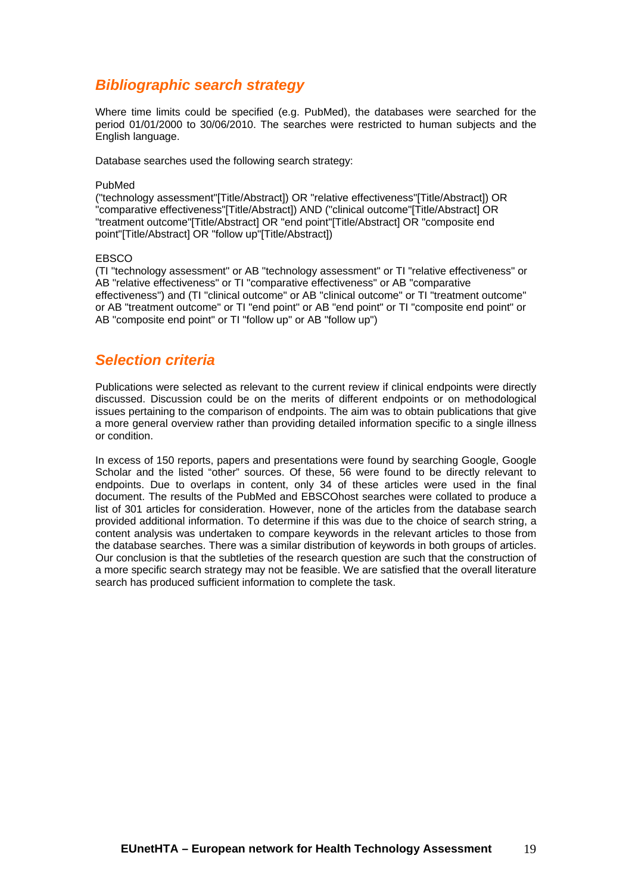### <span id="page-18-0"></span>*Bibliographic search strategy*

Where time limits could be specified (e.g. PubMed), the databases were searched for the period 01/01/2000 to 30/06/2010. The searches were restricted to human subjects and the English language.

Database searches used the following search strategy:

#### PubMed

("technology assessment"[Title/Abstract]) OR "relative effectiveness"[Title/Abstract]) OR "comparative effectiveness"[Title/Abstract]) AND ("clinical outcome"[Title/Abstract] OR "treatment outcome"[Title/Abstract] OR "end point"[Title/Abstract] OR "composite end point"[Title/Abstract] OR "follow up"[Title/Abstract])

#### EBSCO

(TI "technology assessment" or AB "technology assessment" or TI "relative effectiveness" or AB "relative effectiveness" or TI "comparative effectiveness" or AB "comparative effectiveness") and (TI "clinical outcome" or AB "clinical outcome" or TI "treatment outcome" or AB "treatment outcome" or TI "end point" or AB "end point" or TI "composite end point" or AB "composite end point" or TI "follow up" or AB "follow up")

### <span id="page-18-1"></span>*Selection criteria*

Publications were selected as relevant to the current review if clinical endpoints were directly discussed. Discussion could be on the merits of different endpoints or on methodological issues pertaining to the comparison of endpoints. The aim was to obtain publications that give a more general overview rather than providing detailed information specific to a single illness or condition.

In excess of 150 reports, papers and presentations were found by searching Google, Google Scholar and the listed "other" sources. Of these, 56 were found to be directly relevant to endpoints. Due to overlaps in content, only 34 of these articles were used in the final document. The results of the PubMed and EBSCOhost searches were collated to produce a list of 301 articles for consideration. However, none of the articles from the database search provided additional information. To determine if this was due to the choice of search string, a content analysis was undertaken to compare keywords in the relevant articles to those from the database searches. There was a similar distribution of keywords in both groups of articles. Our conclusion is that the subtleties of the research question are such that the construction of a more specific search strategy may not be feasible. We are satisfied that the overall literature search has produced sufficient information to complete the task.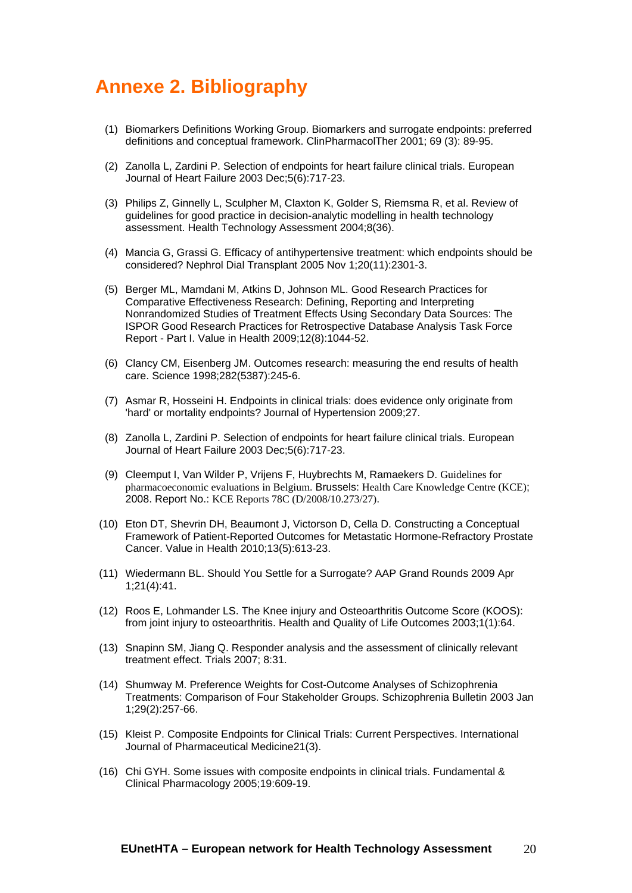## <span id="page-19-0"></span>**Annexe 2. Bibliography**

- (1) Biomarkers Definitions Working Group. Biomarkers and surrogate endpoints: preferred definitions and conceptual framework. ClinPharmacolTher 2001; 69 (3): 89-95.
- (2) Zanolla L, Zardini P. Selection of endpoints for heart failure clinical trials. European Journal of Heart Failure 2003 Dec;5(6):717-23.
- (3) Philips Z, Ginnelly L, Sculpher M, Claxton K, Golder S, Riemsma R, et al. Review of guidelines for good practice in decision-analytic modelling in health technology assessment. Health Technology Assessment 2004;8(36).
- (4) Mancia G, Grassi G. Efficacy of antihypertensive treatment: which endpoints should be considered? Nephrol Dial Transplant 2005 Nov 1;20(11):2301-3.
- (5) Berger ML, Mamdani M, Atkins D, Johnson ML. Good Research Practices for Comparative Effectiveness Research: Defining, Reporting and Interpreting Nonrandomized Studies of Treatment Effects Using Secondary Data Sources: The ISPOR Good Research Practices for Retrospective Database Analysis Task Force Report - Part I. Value in Health 2009;12(8):1044-52.
- (6) Clancy CM, Eisenberg JM. Outcomes research: measuring the end results of health care. Science 1998;282(5387):245-6.
- (7) Asmar R, Hosseini H. Endpoints in clinical trials: does evidence only originate from 'hard' or mortality endpoints? Journal of Hypertension 2009;27.
- (8) Zanolla L, Zardini P. Selection of endpoints for heart failure clinical trials. European Journal of Heart Failure 2003 Dec;5(6):717-23.
- (9) Cleemput I, Van Wilder P, Vrijens F, Huybrechts M, Ramaekers D. Guidelines for pharmacoeconomic evaluations in Belgium. Brussels: Health Care Knowledge Centre (KCE); 2008. Report No.: KCE Reports 78C (D/2008/10.273/27).
- (10) Eton DT, Shevrin DH, Beaumont J, Victorson D, Cella D. Constructing a Conceptual Framework of Patient-Reported Outcomes for Metastatic Hormone-Refractory Prostate Cancer. Value in Health 2010;13(5):613-23.
- (11) Wiedermann BL. Should You Settle for a Surrogate? AAP Grand Rounds 2009 Apr 1;21(4):41.
- (12) Roos E, Lohmander LS. The Knee injury and Osteoarthritis Outcome Score (KOOS): from joint injury to osteoarthritis. Health and Quality of Life Outcomes 2003;1(1):64.
- (13) Snapinn SM, Jiang Q. Responder analysis and the assessment of clinically relevant treatment effect. Trials 2007; 8:31.
- (14) Shumway M. Preference Weights for Cost-Outcome Analyses of Schizophrenia Treatments: Comparison of Four Stakeholder Groups. Schizophrenia Bulletin 2003 Jan 1;29(2):257-66.
- (15) Kleist P. Composite Endpoints for Clinical Trials: Current Perspectives. International Journal of Pharmaceutical Medicine21(3).
- (16) Chi GYH. Some issues with composite endpoints in clinical trials. Fundamental & Clinical Pharmacology 2005;19:609-19.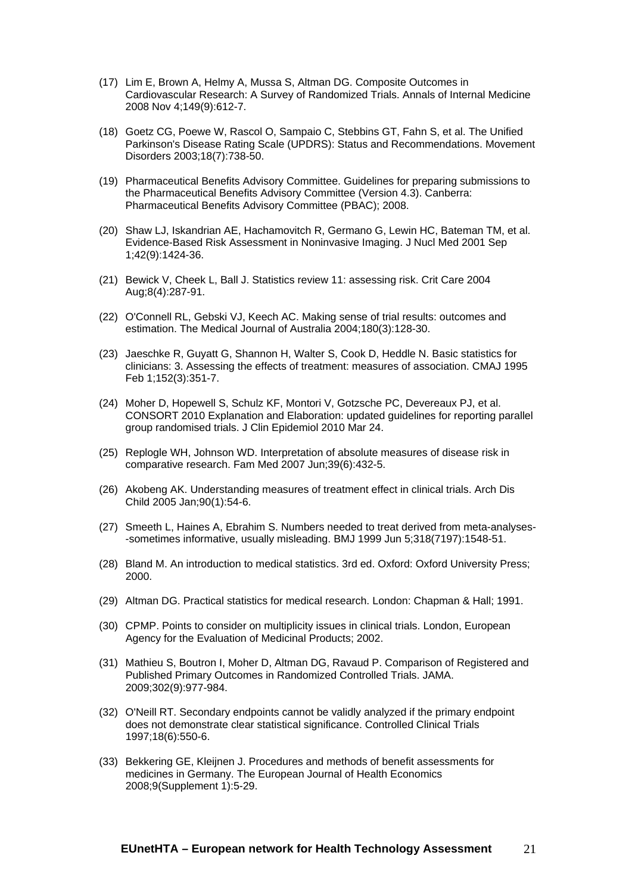- (17) Lim E, Brown A, Helmy A, Mussa S, Altman DG. Composite Outcomes in Cardiovascular Research: A Survey of Randomized Trials. Annals of Internal Medicine 2008 Nov 4;149(9):612-7.
- (18) Goetz CG, Poewe W, Rascol O, Sampaio C, Stebbins GT, Fahn S, et al. The Unified Parkinson's Disease Rating Scale (UPDRS): Status and Recommendations. Movement Disorders 2003;18(7):738-50.
- (19) Pharmaceutical Benefits Advisory Committee. Guidelines for preparing submissions to the Pharmaceutical Benefits Advisory Committee (Version 4.3). Canberra: Pharmaceutical Benefits Advisory Committee (PBAC); 2008.
- (20) Shaw LJ, Iskandrian AE, Hachamovitch R, Germano G, Lewin HC, Bateman TM, et al. Evidence-Based Risk Assessment in Noninvasive Imaging. J Nucl Med 2001 Sep 1;42(9):1424-36.
- (21) Bewick V, Cheek L, Ball J. Statistics review 11: assessing risk. Crit Care 2004 Aug;8(4):287-91.
- (22) O'Connell RL, Gebski VJ, Keech AC. Making sense of trial results: outcomes and estimation. The Medical Journal of Australia 2004;180(3):128-30.
- (23) Jaeschke R, Guyatt G, Shannon H, Walter S, Cook D, Heddle N. Basic statistics for clinicians: 3. Assessing the effects of treatment: measures of association. CMAJ 1995 Feb 1;152(3):351-7.
- (24) Moher D, Hopewell S, Schulz KF, Montori V, Gotzsche PC, Devereaux PJ, et al. CONSORT 2010 Explanation and Elaboration: updated guidelines for reporting parallel group randomised trials. J Clin Epidemiol 2010 Mar 24.
- (25) Replogle WH, Johnson WD. Interpretation of absolute measures of disease risk in comparative research. Fam Med 2007 Jun;39(6):432-5.
- (26) Akobeng AK. Understanding measures of treatment effect in clinical trials. Arch Dis Child 2005 Jan;90(1):54-6.
- (27) Smeeth L, Haines A, Ebrahim S. Numbers needed to treat derived from meta-analyses- -sometimes informative, usually misleading. BMJ 1999 Jun 5;318(7197):1548-51.
- (28) Bland M. An introduction to medical statistics. 3rd ed. Oxford: Oxford University Press; 2000.
- (29) Altman DG. Practical statistics for medical research. London: Chapman & Hall; 1991.
- (30) CPMP. Points to consider on multiplicity issues in clinical trials. London, European Agency for the Evaluation of Medicinal Products; 2002.
- (31) Mathieu S, Boutron I, Moher D, Altman DG, Ravaud P. Comparison of Registered and Published Primary Outcomes in Randomized Controlled Trials. JAMA. 2009;302(9):977-984.
- (32) O'Neill RT. Secondary endpoints cannot be validly analyzed if the primary endpoint does not demonstrate clear statistical significance. Controlled Clinical Trials 1997;18(6):550-6.
- (33) Bekkering GE, Kleijnen J. Procedures and methods of benefit assessments for medicines in Germany. The European Journal of Health Economics 2008;9(Supplement 1):5-29.